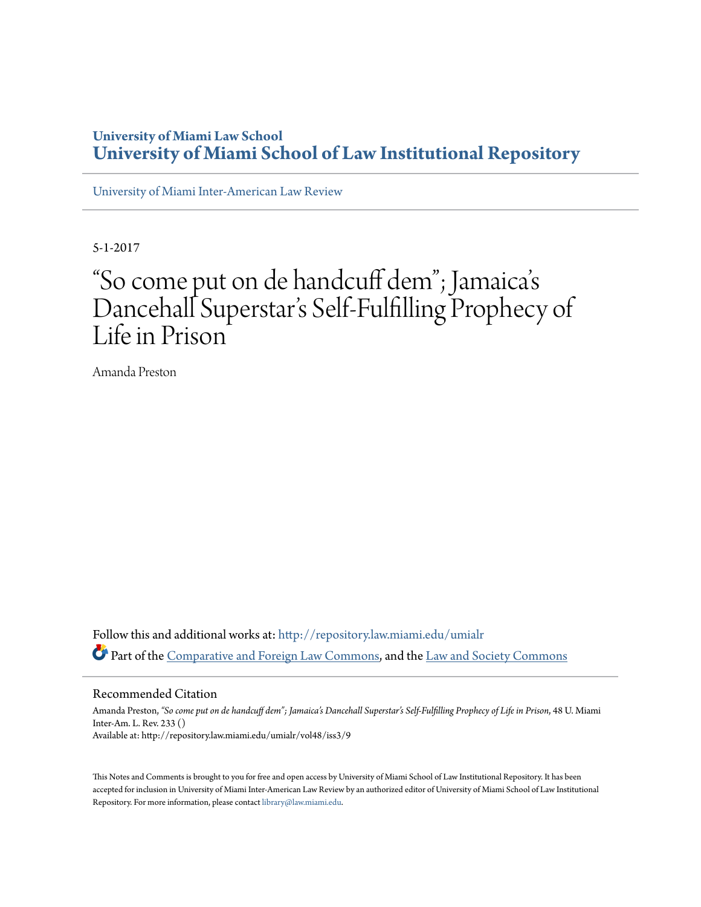## **University of Miami Law School [University of Miami School of Law Institutional Repository](http://repository.law.miami.edu?utm_source=repository.law.miami.edu%2Fumialr%2Fvol48%2Fiss3%2F9&utm_medium=PDF&utm_campaign=PDFCoverPages)**

[University of Miami Inter-American Law Review](http://repository.law.miami.edu/umialr?utm_source=repository.law.miami.edu%2Fumialr%2Fvol48%2Fiss3%2F9&utm_medium=PDF&utm_campaign=PDFCoverPages)

5-1-2017

## "So come put on de handcuff dem"; Jamaica s י<br>' Dancehall Superstar 's Self-Fulfilling Prophecy of Life in Prison

Amanda Preston

Follow this and additional works at: [http://repository.law.miami.edu/umialr](http://repository.law.miami.edu/umialr?utm_source=repository.law.miami.edu%2Fumialr%2Fvol48%2Fiss3%2F9&utm_medium=PDF&utm_campaign=PDFCoverPages) Part of the [Comparative and Foreign Law Commons](http://network.bepress.com/hgg/discipline/836?utm_source=repository.law.miami.edu%2Fumialr%2Fvol48%2Fiss3%2F9&utm_medium=PDF&utm_campaign=PDFCoverPages), and the [Law and Society Commons](http://network.bepress.com/hgg/discipline/853?utm_source=repository.law.miami.edu%2Fumialr%2Fvol48%2Fiss3%2F9&utm_medium=PDF&utm_campaign=PDFCoverPages)

#### Recommended Citation

Amanda Preston, *"So come put on de handcuff dem"; Jamaica's Dancehall Superstar's Self-Fulfilling Prophecy of Life in Prison*, 48 U. Miami Inter-Am. L. Rev. 233 () Available at: http://repository.law.miami.edu/umialr/vol48/iss3/9

This Notes and Comments is brought to you for free and open access by University of Miami School of Law Institutional Repository. It has been accepted for inclusion in University of Miami Inter-American Law Review by an authorized editor of University of Miami School of Law Institutional Repository. For more information, please contact [library@law.miami.edu](mailto:library@law.miami.edu).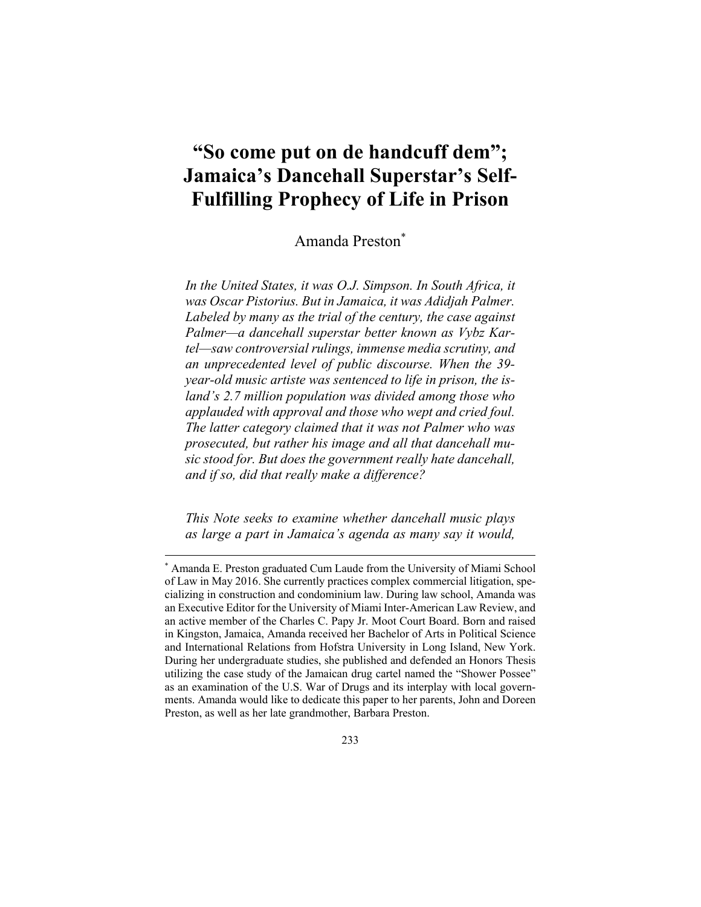# **"So come put on de handcuff dem"; Jamaica's Dancehall Superstar's Self-Fulfilling Prophecy of Life in Prison**

Amanda Preston\*

*In the United States, it was O.J. Simpson. In South Africa, it was Oscar Pistorius. But in Jamaica, it was Adidjah Palmer. Labeled by many as the trial of the century, the case against Palmer—a dancehall superstar better known as Vybz Kartel—saw controversial rulings, immense media scrutiny, and an unprecedented level of public discourse. When the 39 year-old music artiste was sentenced to life in prison, the island's 2.7 million population was divided among those who applauded with approval and those who wept and cried foul. The latter category claimed that it was not Palmer who was prosecuted, but rather his image and all that dancehall music stood for. But does the government really hate dancehall, and if so, did that really make a difference?*

*This Note seeks to examine whether dancehall music plays as large a part in Jamaica's agenda as many say it would,* 

 $\overline{a}$ 

<sup>\*</sup> Amanda E. Preston graduated Cum Laude from the University of Miami School of Law in May 2016. She currently practices complex commercial litigation, specializing in construction and condominium law. During law school, Amanda was an Executive Editor for the University of Miami Inter-American Law Review, and an active member of the Charles C. Papy Jr. Moot Court Board. Born and raised in Kingston, Jamaica, Amanda received her Bachelor of Arts in Political Science and International Relations from Hofstra University in Long Island, New York. During her undergraduate studies, she published and defended an Honors Thesis utilizing the case study of the Jamaican drug cartel named the "Shower Possee" as an examination of the U.S. War of Drugs and its interplay with local governments. Amanda would like to dedicate this paper to her parents, John and Doreen Preston, as well as her late grandmother, Barbara Preston.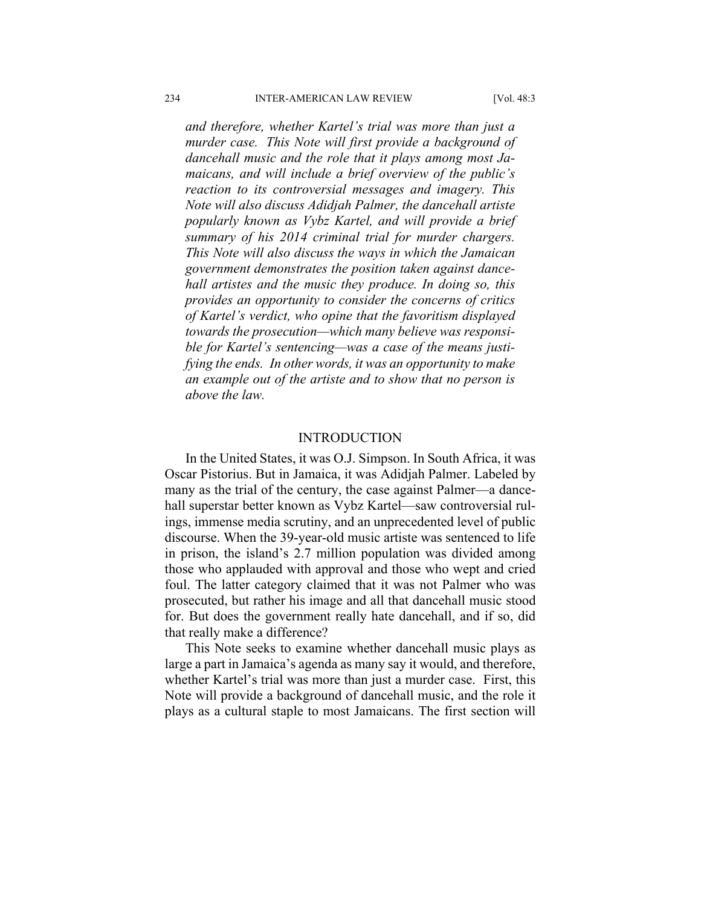*and therefore, whether Kartel's trial was more than just a murder case. This Note will first provide a background of dancehall music and the role that it plays among most Jamaicans, and will include a brief overview of the public's reaction to its controversial messages and imagery. This Note will also discuss Adidjah Palmer, the dancehall artiste popularly known as Vybz Kartel, and will provide a brief summary of his 2014 criminal trial for murder chargers. This Note will also discuss the ways in which the Jamaican government demonstrates the position taken against dancehall artistes and the music they produce. In doing so, this provides an opportunity to consider the concerns of critics of Kartel's verdict, who opine that the favoritism displayed towards the prosecution—which many believe was responsible for Kartel's sentencing—was a case of the means justifying the ends. In other words, it was an opportunity to make an example out of the artiste and to show that no person is above the law.* 

#### INTRODUCTION

In the United States, it was O.J. Simpson. In South Africa, it was Oscar Pistorius. But in Jamaica, it was Adidjah Palmer. Labeled by many as the trial of the century, the case against Palmer—a dancehall superstar better known as Vybz Kartel—saw controversial rulings, immense media scrutiny, and an unprecedented level of public discourse. When the 39-year-old music artiste was sentenced to life in prison, the island's 2.7 million population was divided among those who applauded with approval and those who wept and cried foul. The latter category claimed that it was not Palmer who was prosecuted, but rather his image and all that dancehall music stood for. But does the government really hate dancehall, and if so, did that really make a difference?

This Note seeks to examine whether dancehall music plays as large a part in Jamaica's agenda as many say it would, and therefore, whether Kartel's trial was more than just a murder case. First, this Note will provide a background of dancehall music, and the role it plays as a cultural staple to most Jamaicans. The first section will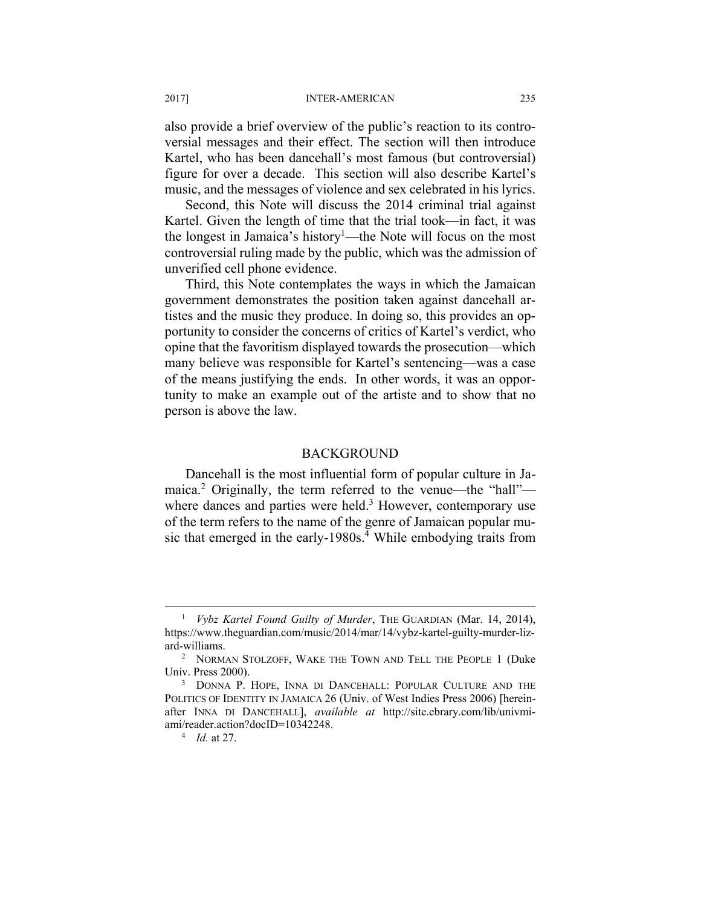#### 2017] INTER-AMERICAN 235

also provide a brief overview of the public's reaction to its controversial messages and their effect. The section will then introduce Kartel, who has been dancehall's most famous (but controversial) figure for over a decade. This section will also describe Kartel's music, and the messages of violence and sex celebrated in his lyrics.

Second, this Note will discuss the 2014 criminal trial against Kartel. Given the length of time that the trial took—in fact, it was the longest in Jamaica's history<sup>1</sup>—the Note will focus on the most controversial ruling made by the public, which was the admission of unverified cell phone evidence.

Third, this Note contemplates the ways in which the Jamaican government demonstrates the position taken against dancehall artistes and the music they produce. In doing so, this provides an opportunity to consider the concerns of critics of Kartel's verdict, who opine that the favoritism displayed towards the prosecution—which many believe was responsible for Kartel's sentencing—was a case of the means justifying the ends. In other words, it was an opportunity to make an example out of the artiste and to show that no person is above the law.

#### BACKGROUND

Dancehall is the most influential form of popular culture in Jamaica.<sup>2</sup> Originally, the term referred to the venue—the "hall" where dances and parties were held. $3$  However, contemporary use of the term refers to the name of the genre of Jamaican popular music that emerged in the early-1980s.<sup>4</sup> While embodying traits from

 $\frac{1}{1}$  *Vybz Kartel Found Guilty of Murder*, THE GUARDIAN (Mar. 14, 2014), https://www.theguardian.com/music/2014/mar/14/vybz-kartel-guilty-murder-lizard-williams. 2

NORMAN STOLZOFF, WAKE THE TOWN AND TELL THE PEOPLE 1 (Duke Univ. Press 2000).

<sup>&</sup>lt;sup>3</sup> DONNA P. HOPE, INNA DI DANCEHALL: POPULAR CULTURE AND THE POLITICS OF IDENTITY IN JAMAICA 26 (Univ. of West Indies Press 2006) [hereinafter INNA DI DANCEHALL], *available at* http://site.ebrary.com/lib/univmiami/reader.action?docID=10342248. 4

*Id.* at 27.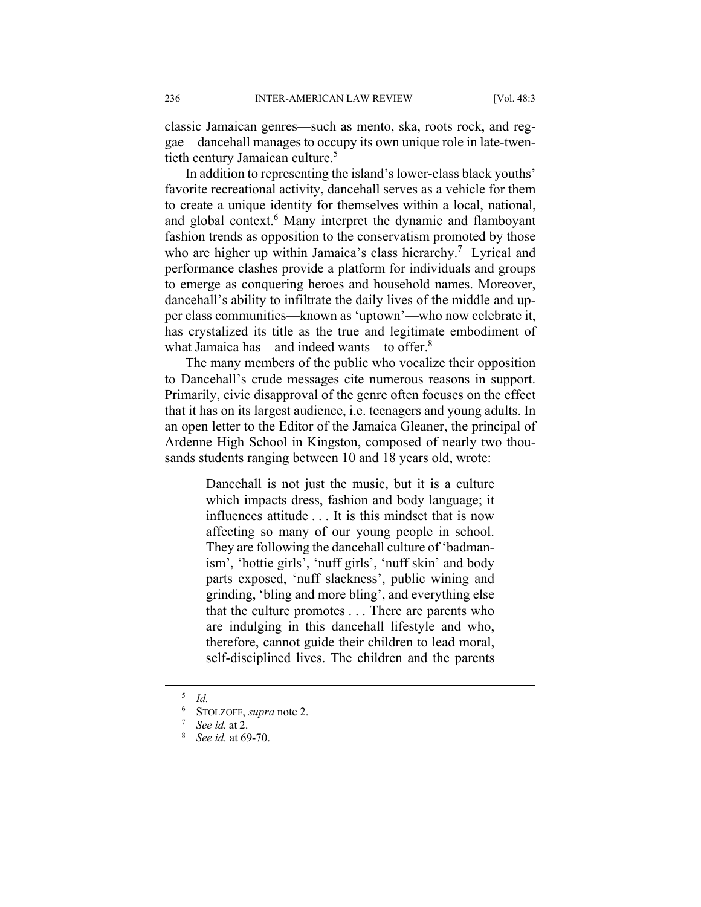classic Jamaican genres—such as mento, ska, roots rock, and reggae—dancehall manages to occupy its own unique role in late-twentieth century Jamaican culture.<sup>5</sup>

In addition to representing the island's lower-class black youths' favorite recreational activity, dancehall serves as a vehicle for them to create a unique identity for themselves within a local, national, and global context.<sup>6</sup> Many interpret the dynamic and flamboyant fashion trends as opposition to the conservatism promoted by those who are higher up within Jamaica's class hierarchy.<sup>7</sup> Lyrical and performance clashes provide a platform for individuals and groups to emerge as conquering heroes and household names. Moreover, dancehall's ability to infiltrate the daily lives of the middle and upper class communities—known as 'uptown'—who now celebrate it, has crystalized its title as the true and legitimate embodiment of what Jamaica has—and indeed wants—to offer.<sup>8</sup>

The many members of the public who vocalize their opposition to Dancehall's crude messages cite numerous reasons in support. Primarily, civic disapproval of the genre often focuses on the effect that it has on its largest audience, i.e. teenagers and young adults. In an open letter to the Editor of the Jamaica Gleaner, the principal of Ardenne High School in Kingston, composed of nearly two thousands students ranging between 10 and 18 years old, wrote:

> Dancehall is not just the music, but it is a culture which impacts dress, fashion and body language; it influences attitude . . . It is this mindset that is now affecting so many of our young people in school. They are following the dancehall culture of 'badmanism', 'hottie girls', 'nuff girls', 'nuff skin' and body parts exposed, 'nuff slackness', public wining and grinding, 'bling and more bling', and everything else that the culture promotes . . . There are parents who are indulging in this dancehall lifestyle and who, therefore, cannot guide their children to lead moral, self-disciplined lives. The children and the parents

 <sup>5</sup>  *Id.*

 $^{6}$  STOLZOFF, *supra* note 2.

 $^7$  *See id.* at 2.

*See id.* at 69-70.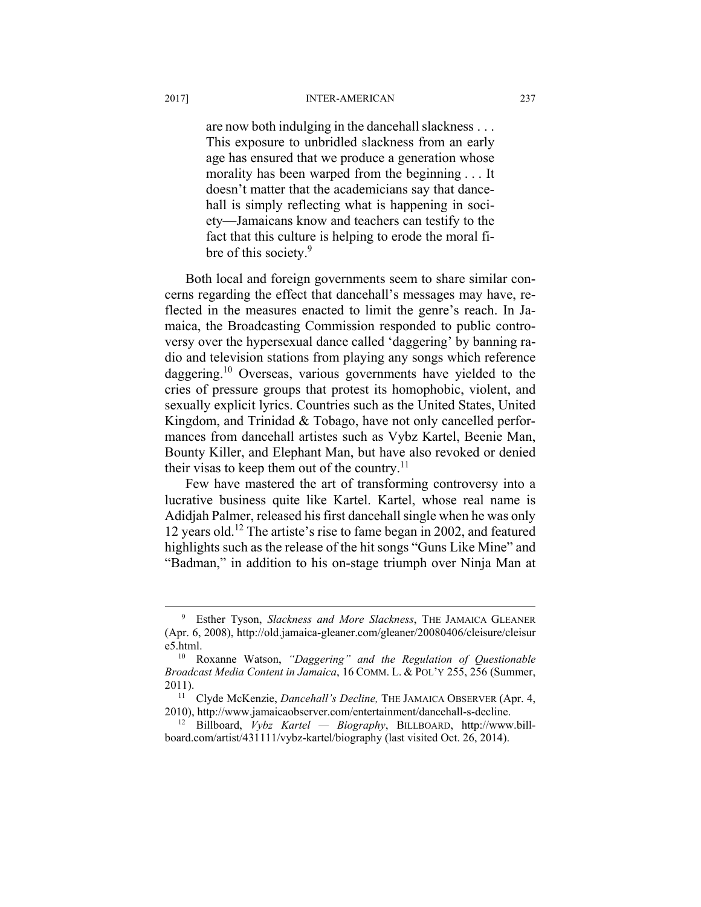are now both indulging in the dancehall slackness . . . This exposure to unbridled slackness from an early age has ensured that we produce a generation whose morality has been warped from the beginning . . . It doesn't matter that the academicians say that dancehall is simply reflecting what is happening in society—Jamaicans know and teachers can testify to the fact that this culture is helping to erode the moral fibre of this society.<sup>9</sup>

Both local and foreign governments seem to share similar concerns regarding the effect that dancehall's messages may have, reflected in the measures enacted to limit the genre's reach. In Jamaica, the Broadcasting Commission responded to public controversy over the hypersexual dance called 'daggering' by banning radio and television stations from playing any songs which reference daggering.<sup>10</sup> Overseas, various governments have yielded to the cries of pressure groups that protest its homophobic, violent, and sexually explicit lyrics. Countries such as the United States, United Kingdom, and Trinidad & Tobago, have not only cancelled performances from dancehall artistes such as Vybz Kartel, Beenie Man, Bounty Killer, and Elephant Man, but have also revoked or denied their visas to keep them out of the country.<sup>11</sup>

Few have mastered the art of transforming controversy into a lucrative business quite like Kartel. Kartel, whose real name is Adidjah Palmer, released his first dancehall single when he was only 12 years old.12 The artiste's rise to fame began in 2002, and featured highlights such as the release of the hit songs "Guns Like Mine" and "Badman," in addition to his on-stage triumph over Ninja Man at

 $\frac{1}{\sqrt{9}}$  Esther Tyson, *Slackness and More Slackness*, THE JAMAICA GLEANER (Apr. 6, 2008), http://old.jamaica-gleaner.com/gleaner/20080406/cleisure/cleisur e5.html. 10 Roxanne Watson, *"Daggering" and the Regulation of Questionable* 

*Broadcast Media Content in Jamaica*, 16 COMM. L. & POL'Y 255, 256 (Summer, 2011). 11 Clyde McKenzie, *Dancehall's Decline,* THE JAMAICA OBSERVER (Apr. 4,

<sup>2010),</sup> http://www.jamaicaobserver.com/entertainment/dancehall-s-decline.

<sup>12</sup> Billboard, *Vybz Kartel — Biography*, BILLBOARD, http://www.billboard.com/artist/431111/vybz-kartel/biography (last visited Oct. 26, 2014).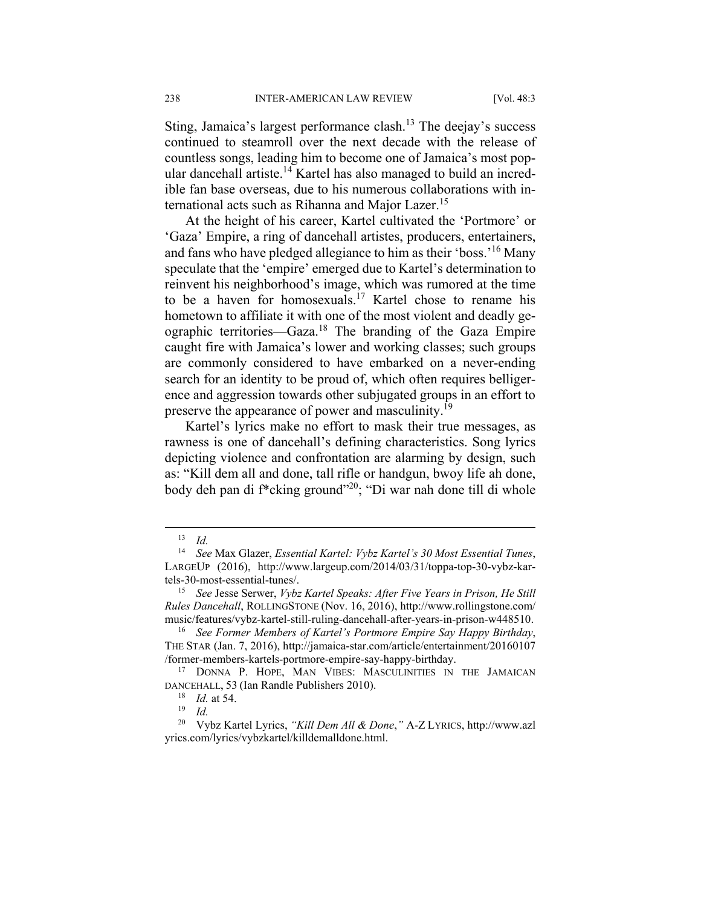Sting, Jamaica's largest performance clash.<sup>13</sup> The deejay's success continued to steamroll over the next decade with the release of countless songs, leading him to become one of Jamaica's most popular dancehall artiste.<sup>14</sup> Kartel has also managed to build an incredible fan base overseas, due to his numerous collaborations with international acts such as Rihanna and Major Lazer.<sup>15</sup>

At the height of his career, Kartel cultivated the 'Portmore' or 'Gaza' Empire, a ring of dancehall artistes, producers, entertainers, and fans who have pledged allegiance to him as their 'boss.'16 Many speculate that the 'empire' emerged due to Kartel's determination to reinvent his neighborhood's image, which was rumored at the time to be a haven for homosexuals.17 Kartel chose to rename his hometown to affiliate it with one of the most violent and deadly geographic territories—Gaza.18 The branding of the Gaza Empire caught fire with Jamaica's lower and working classes; such groups are commonly considered to have embarked on a never-ending search for an identity to be proud of, which often requires belligerence and aggression towards other subjugated groups in an effort to preserve the appearance of power and masculinity.<sup>19</sup>

Kartel's lyrics make no effort to mask their true messages, as rawness is one of dancehall's defining characteristics. Song lyrics depicting violence and confrontation are alarming by design, such as: "Kill dem all and done, tall rifle or handgun, bwoy life ah done, body deh pan di f<sup>\*</sup>cking ground"<sup>20</sup>; "Di war nah done till di whole

 <sup>13</sup> *Id.* 

<sup>14</sup> *See* Max Glazer, *Essential Kartel: Vybz Kartel's 30 Most Essential Tunes*, LARGEUP (2016), http://www.largeup.com/2014/03/31/toppa-top-30-vybz-kartels-30-most-essential-tunes/. 15 *See* Jesse Serwer, *Vybz Kartel Speaks: After Five Years in Prison, He Still* 

*Rules Dancehall*, ROLLINGSTONE (Nov. 16, 2016), http://www.rollingstone.com/

music/features/vybz-kartel-still-ruling-dancehall-after-years-in-prison-w448510. 16 *See Former Members of Kartel's Portmore Empire Say Happy Birthday*, THE STAR (Jan. 7, 2016), http://jamaica-star.com/article/entertainment/20160107 /former-members-kartels-portmore-empire-say-happy-birthday.

<sup>17</sup> DONNA P. HOPE, MAN VIBES: MASCULINITIES IN THE JAMAICAN DANCEHALL, 53 (Ian Randle Publishers 2010).

<sup>18</sup> *Id.* at 54. 19 *Id.* 

<sup>20</sup> Vybz Kartel Lyrics, *"Kill Dem All & Done*,*"* A-Z LYRICS, http://www.azl yrics.com/lyrics/vybzkartel/killdemalldone.html.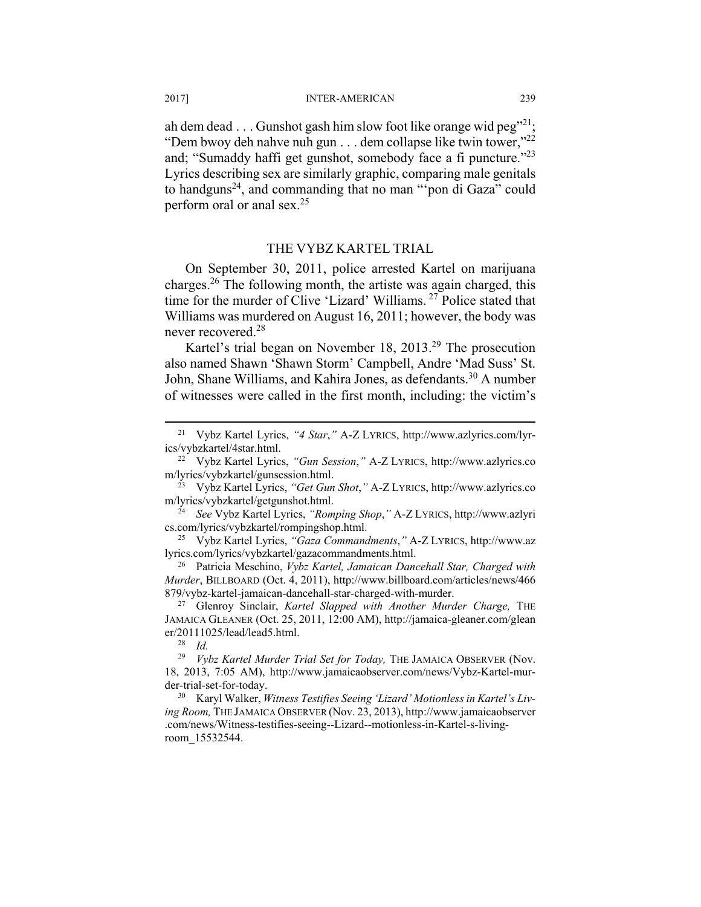2017] INTER-AMERICAN 239

ah dem dead  $\dots$  Gunshot gash him slow foot like orange wid peg<sup>"21</sup>; "Dem bwoy deh nahve nuh gun . . . dem collapse like twin tower,"<sup>22</sup> and; "Sumaddy haffi get gunshot, somebody face a fi puncture."23 Lyrics describing sex are similarly graphic, comparing male genitals to handguns<sup>24</sup>, and commanding that no man "'pon di Gaza" could perform oral or anal sex.25

#### THE VYBZ KARTEL TRIAL

On September 30, 2011, police arrested Kartel on marijuana charges.26 The following month, the artiste was again charged, this time for the murder of Clive 'Lizard' Williams. 27 Police stated that Williams was murdered on August 16, 2011; however, the body was never recovered.28

Kartel's trial began on November 18, 2013.29 The prosecution also named Shawn 'Shawn Storm' Campbell, Andre 'Mad Suss' St. John, Shane Williams, and Kahira Jones, as defendants.<sup>30</sup> A number of witnesses were called in the first month, including: the victim's

m/lyrics/vybzkartel/getgunshot.html. 24 *See* Vybz Kartel Lyrics, *"Romping Shop*,*"* A-Z LYRICS, http://www.azlyri cs.com/lyrics/vybzkartel/rompingshop.html.

25 Vybz Kartel Lyrics, *"Gaza Commandments*,*"* A-Z LYRICS, http://www.az lyrics.com/lyrics/vybzkartel/gazacommandments.html. 26 Patricia Meschino, *Vybz Kartel, Jamaican Dancehall Star, Charged with* 

*Murder*, BILLBOARD (Oct. 4, 2011), http://www.billboard.com/articles/news/466 879/vybz-kartel-jamaican-dancehall-star-charged-with-murder. 27 Glenroy Sinclair, *Kartel Slapped with Another Murder Charge,* THE

JAMAICA GLEANER (Oct. 25, 2011, 12:00 AM), http://jamaica-gleaner.com/glean er/20111025/lead/lead5.html. 28 *Id.* 

*ing Room,* THE JAMAICA OBSERVER (Nov. 23, 2013), http://www.jamaicaobserver .com/news/Witness-testifies-seeing--Lizard--motionless-in-Kartel-s-livingroom\_15532544.

 <sup>21</sup> Vybz Kartel Lyrics, *"4 Star*,*"* A-Z LYRICS, http://www.azlyrics.com/lyrics/vybzkartel/4star.html. 22 Vybz Kartel Lyrics, *"Gun Session*,*"* A-Z LYRICS, http://www.azlyrics.co

m/lyrics/vybzkartel/gunsession.html. 23 Vybz Kartel Lyrics, *"Get Gun Shot*,*"* A-Z LYRICS, http://www.azlyrics.co

<sup>29</sup> *Vybz Kartel Murder Trial Set for Today,* THE JAMAICA OBSERVER (Nov. 18, 2013, 7:05 AM), http://www.jamaicaobserver.com/news/Vybz-Kartel-murder-trial-set-for-today. 30 Karyl Walker, *Witness Testifies Seeing 'Lizard' Motionless in Kartel's Liv-*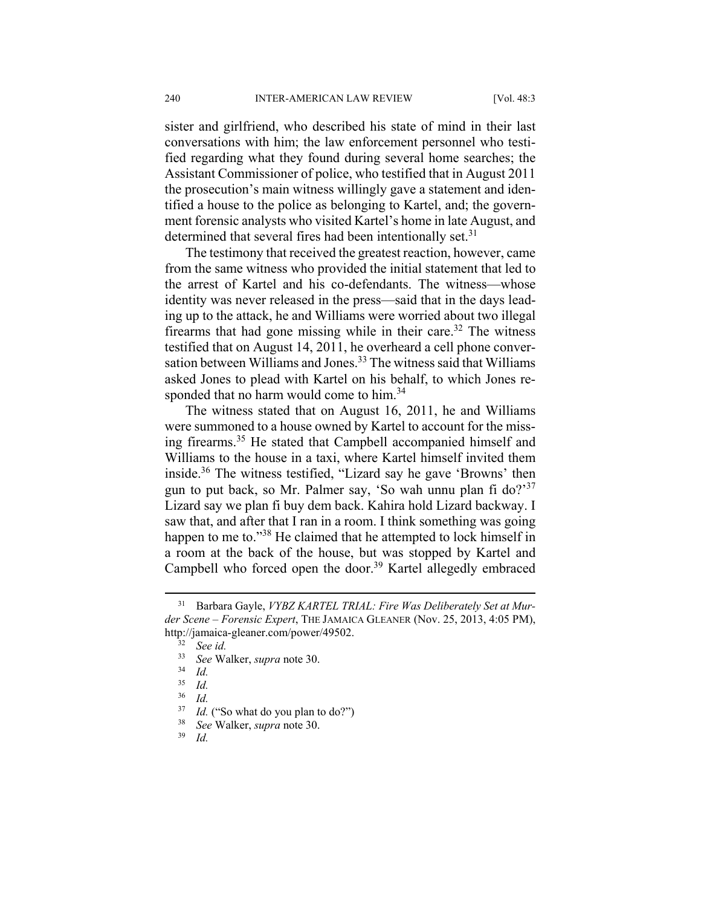sister and girlfriend, who described his state of mind in their last conversations with him; the law enforcement personnel who testified regarding what they found during several home searches; the Assistant Commissioner of police, who testified that in August 2011 the prosecution's main witness willingly gave a statement and identified a house to the police as belonging to Kartel, and; the government forensic analysts who visited Kartel's home in late August, and determined that several fires had been intentionally set.<sup>31</sup>

The testimony that received the greatest reaction, however, came from the same witness who provided the initial statement that led to the arrest of Kartel and his co-defendants. The witness—whose identity was never released in the press—said that in the days leading up to the attack, he and Williams were worried about two illegal firearms that had gone missing while in their care.<sup>32</sup> The witness testified that on August 14, 2011, he overheard a cell phone conversation between Williams and Jones.<sup>33</sup> The witness said that Williams asked Jones to plead with Kartel on his behalf, to which Jones responded that no harm would come to him.<sup>34</sup>

The witness stated that on August 16, 2011, he and Williams were summoned to a house owned by Kartel to account for the missing firearms.35 He stated that Campbell accompanied himself and Williams to the house in a taxi, where Kartel himself invited them inside.<sup>36</sup> The witness testified, "Lizard say he gave 'Browns' then gun to put back, so Mr. Palmer say, 'So wah unnu plan fi do?'<sup>37</sup> Lizard say we plan fi buy dem back. Kahira hold Lizard backway. I saw that, and after that I ran in a room. I think something was going happen to me to."<sup>38</sup> He claimed that he attempted to lock himself in a room at the back of the house, but was stopped by Kartel and Campbell who forced open the door.<sup>39</sup> Kartel allegedly embraced

 <sup>31</sup> Barbara Gayle, *VYBZ KARTEL TRIAL: Fire Was Deliberately Set at Murder Scene – Forensic Expert*, THE JAMAICA GLEANER (Nov. 25, 2013, 4:05 PM), http://jamaica-gleaner.com/power/49502.

 $\frac{32}{33}$  See id.

<sup>33</sup> *See* Walker, *supra* note 30. 34 *Id.* 

<sup>35</sup> *Id.* 

 $rac{36}{37}$  *Id.* 

<sup>37</sup> *Id.* ("So what do you plan to do?") 38 *See* Walker, *supra* note 30.

*Id.*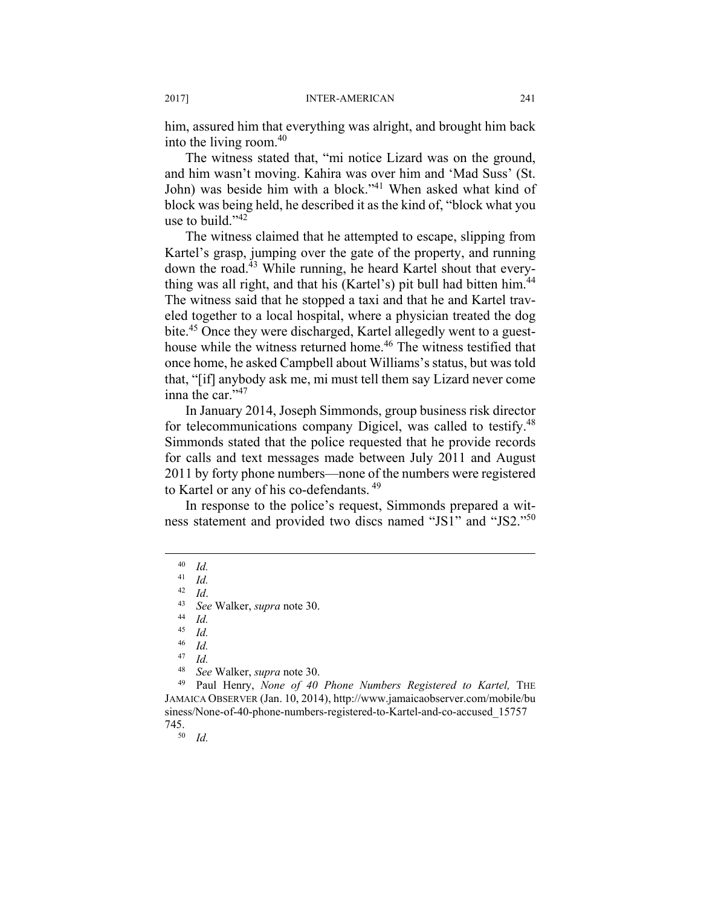him, assured him that everything was alright, and brought him back into the living room. $40$ 

The witness stated that, "mi notice Lizard was on the ground, and him wasn't moving. Kahira was over him and 'Mad Suss' (St. John) was beside him with a block."<sup>41</sup> When asked what kind of block was being held, he described it as the kind of, "block what you use to build."<sup>42</sup>

The witness claimed that he attempted to escape, slipping from Kartel's grasp, jumping over the gate of the property, and running down the road.<sup>43</sup> While running, he heard Kartel shout that everything was all right, and that his (Kartel's) pit bull had bitten him.<sup>44</sup> The witness said that he stopped a taxi and that he and Kartel traveled together to a local hospital, where a physician treated the dog bite.<sup>45</sup> Once they were discharged, Kartel allegedly went to a guesthouse while the witness returned home.<sup>46</sup> The witness testified that once home, he asked Campbell about Williams's status, but was told that, "[if] anybody ask me, mi must tell them say Lizard never come inna the car." $47$ 

In January 2014, Joseph Simmonds, group business risk director for telecommunications company Digicel, was called to testify.<sup>48</sup> Simmonds stated that the police requested that he provide records for calls and text messages made between July 2011 and August 2011 by forty phone numbers—none of the numbers were registered to Kartel or any of his co-defendants.<sup>49</sup>

In response to the police's request, Simmonds prepared a witness statement and provided two discs named "JS1" and "JS2."50

 $\frac{44}{45}$  *Id.* 

 $\frac{45}{46}$  *Id.* 

<sup>48</sup> *See* Walker, *supra* note 30. 49 Paul Henry, *None of 40 Phone Numbers Registered to Kartel,* THE JAMAICA OBSERVER (Jan. 10, 2014), http://www.jamaicaobserver.com/mobile/bu siness/None-of-40-phone-numbers-registered-to-Kartel-and-co-accused\_15757  $745.$ <sup>50</sup> *Id.* 

 $\begin{array}{cc} 40 & Id. \\ 41 & Id. \end{array}$ 

 $\frac{41}{42}$  *Id.* 

 $\frac{42}{43}$  *Id.* 

<sup>43</sup> *See* Walker, *supra* note 30.

 $\frac{46}{47}$  *Id.* 

 $\frac{47}{48}$  *Id.*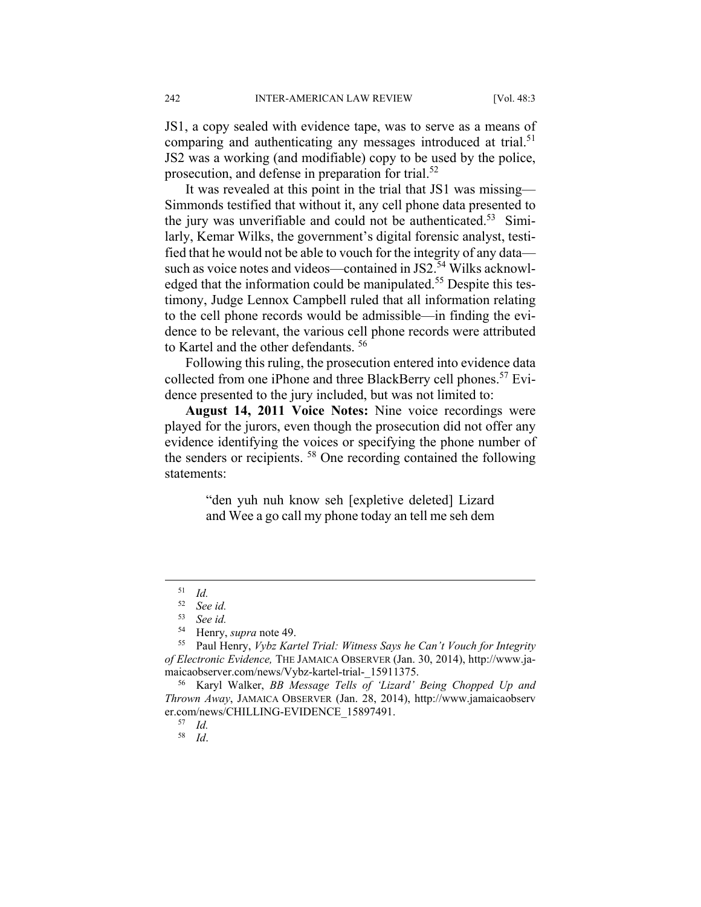JS1, a copy sealed with evidence tape, was to serve as a means of comparing and authenticating any messages introduced at trial.<sup>51</sup> JS2 was a working (and modifiable) copy to be used by the police, prosecution, and defense in preparation for trial.<sup>52</sup>

It was revealed at this point in the trial that JS1 was missing— Simmonds testified that without it, any cell phone data presented to the jury was unverifiable and could not be authenticated.<sup>53</sup> Similarly, Kemar Wilks, the government's digital forensic analyst, testified that he would not be able to vouch for the integrity of any data such as voice notes and videos—contained in JS2.<sup>54</sup> Wilks acknowledged that the information could be manipulated.<sup>55</sup> Despite this testimony, Judge Lennox Campbell ruled that all information relating to the cell phone records would be admissible—in finding the evidence to be relevant, the various cell phone records were attributed to Kartel and the other defendants. 56

Following this ruling, the prosecution entered into evidence data collected from one iPhone and three BlackBerry cell phones.<sup>57</sup> Evidence presented to the jury included, but was not limited to:

**August 14, 2011 Voice Notes:** Nine voice recordings were played for the jurors, even though the prosecution did not offer any evidence identifying the voices or specifying the phone number of the senders or recipients. 58 One recording contained the following statements:

> "den yuh nuh know seh [expletive deleted] Lizard and Wee a go call my phone today an tell me seh dem

 $\frac{51}{52}$  *Id.* 

<sup>52</sup> *See id.* 

<sup>53</sup> *See id.* 

<sup>54</sup> Henry, *supra* note 49.

<sup>55</sup> Paul Henry, *Vybz Kartel Trial: Witness Says he Can't Vouch for Integrity of Electronic Evidence,* THE JAMAICA OBSERVER (Jan. 30, 2014), http://www.jamaicaobserver.com/news/Vybz-kartel-trial-\_15911375. 56 Karyl Walker, *BB Message Tells of 'Lizard' Being Chopped Up and* 

*Thrown Away*, JAMAICA OBSERVER (Jan. 28, 2014), http://www.jamaicaobserv er.com/news/CHILLING-EVIDENCE\_15897491. 57 *Id.* 

<sup>58</sup> *Id*.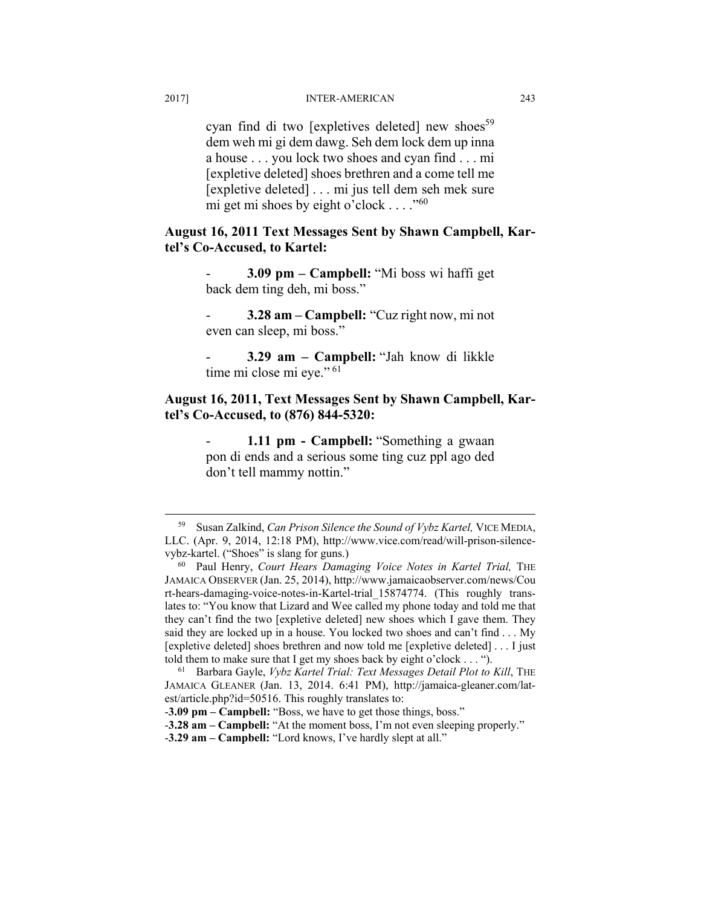cyan find di two [expletives deleted] new shoes<sup>59</sup> dem weh mi gi dem dawg. Seh dem lock dem up inna a house . . . you lock two shoes and cyan find . . . mi [expletive deleted] shoes brethren and a come tell me [expletive deleted] . . . mi jus tell dem seh mek sure mi get mi shoes by eight o'clock  $\dots$ ."<sup>60</sup>

### **August 16, 2011 Text Messages Sent by Shawn Campbell, Kartel's Co-Accused, to Kartel:**

- **3.09 pm – Campbell:** "Mi boss wi haffi get back dem ting deh, mi boss."

- **3.28 am – Campbell:** "Cuz right now, mi not even can sleep, mi boss."

- **3.29 am – Campbell:** "Jah know di likkle time mi close mi eye." <sup>61</sup>

### **August 16, 2011, Text Messages Sent by Shawn Campbell, Kartel's Co-Accused, to (876) 844-5320:**

1.11 pm - Campbell: "Something a gwaan pon di ends and a serious some ting cuz ppl ago ded don't tell mammy nottin."

 <sup>59</sup> Susan Zalkind, *Can Prison Silence the Sound of Vybz Kartel,* VICE MEDIA, LLC. (Apr. 9, 2014, 12:18 PM), http://www.vice.com/read/will-prison-silencevybz-kartel. ("Shoes" is slang for guns.)<br><sup>60</sup> Paul Henry, *Court Hears Damaging Voice Notes in Kartel Trial*, THE

JAMAICA OBSERVER (Jan. 25, 2014), http://www.jamaicaobserver.com/news/Cou rt-hears-damaging-voice-notes-in-Kartel-trial\_15874774. (This roughly translates to: "You know that Lizard and Wee called my phone today and told me that they can't find the two [expletive deleted] new shoes which I gave them. They said they are locked up in a house. You locked two shoes and can't find . . . My [expletive deleted] shoes brethren and now told me [expletive deleted] . . . I just told them to make sure that I get my shoes back by eight o'clock . . . ").<br><sup>61</sup> Barbara Gayle, *Vybz Kartel Trial: Text Messages Detail Plot to Kill*, THE

JAMAICA GLEANER (Jan. 13, 2014. 6:41 PM), http://jamaica-gleaner.com/latest/article.php?id=50516. This roughly translates to:

<sup>-</sup>**3.09 pm – Campbell:** "Boss, we have to get those things, boss."

<sup>-</sup>**3.28 am – Campbell:** "At the moment boss, I'm not even sleeping properly."

<sup>-</sup>**3.29 am – Campbell:** "Lord knows, I've hardly slept at all."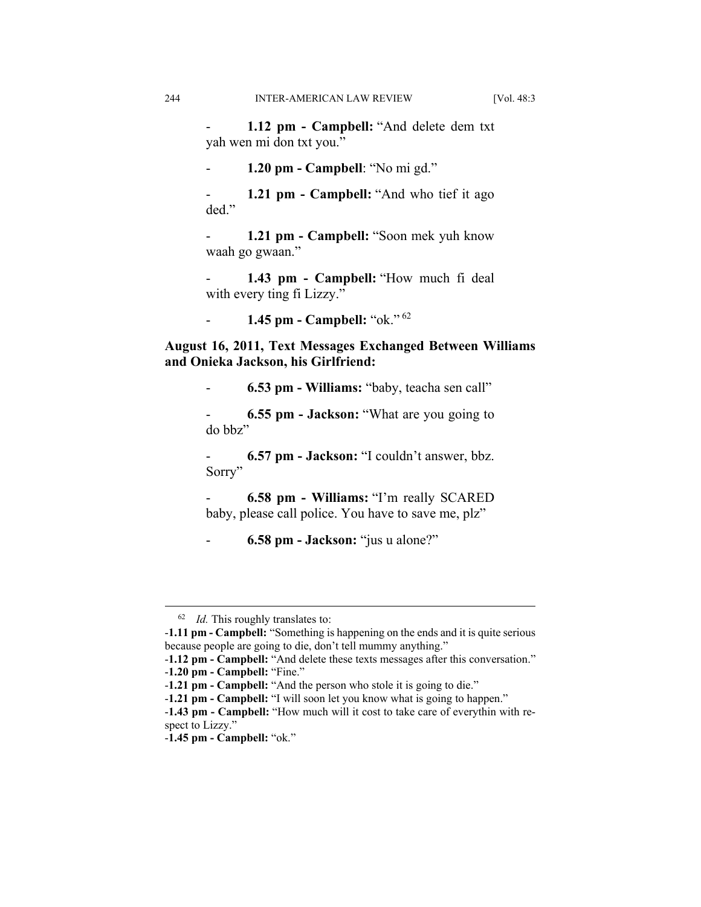1.12 pm - Campbell: "And delete dem txt yah wen mi don txt you."

- **1.20 pm - Campbell**: "No mi gd."

**1.21 pm - Campbell:** "And who tief it ago ded."

- **1.21 pm - Campbell:** "Soon mek yuh know waah go gwaan."

1.43 pm - Campbell: "How much fi deal with every ting fi Lizzy."

- **1.45 pm - Campbell:** "ok." <sup>62</sup>

**August 16, 2011, Text Messages Exchanged Between Williams and Onieka Jackson, his Girlfriend:** 

- **6.53 pm - Williams:** "baby, teacha sen call"

- **6.55 pm - Jackson:** "What are you going to do bbz"

- **6.57 pm - Jackson:** "I couldn't answer, bbz. Sorry"

- **6.58 pm - Williams:** "I'm really SCARED baby, please call police. You have to save me, plz"

- **6.58 pm - Jackson:** "jus u alone?"

 <sup>62</sup> *Id.* This roughly translates to:

<sup>-</sup>**1.11 pm - Campbell:** "Something is happening on the ends and it is quite serious because people are going to die, don't tell mummy anything."

<sup>-</sup>**1.12 pm - Campbell:** "And delete these texts messages after this conversation."

<sup>-</sup>**1.20 pm - Campbell:** "Fine."

<sup>-</sup>**1.21 pm - Campbell:** "And the person who stole it is going to die."

<sup>-</sup>**1.21 pm - Campbell:** "I will soon let you know what is going to happen."

<sup>-</sup>**1.43 pm - Campbell:** "How much will it cost to take care of everythin with respect to Lizzy."

<sup>-</sup>**1.45 pm - Campbell:** "ok."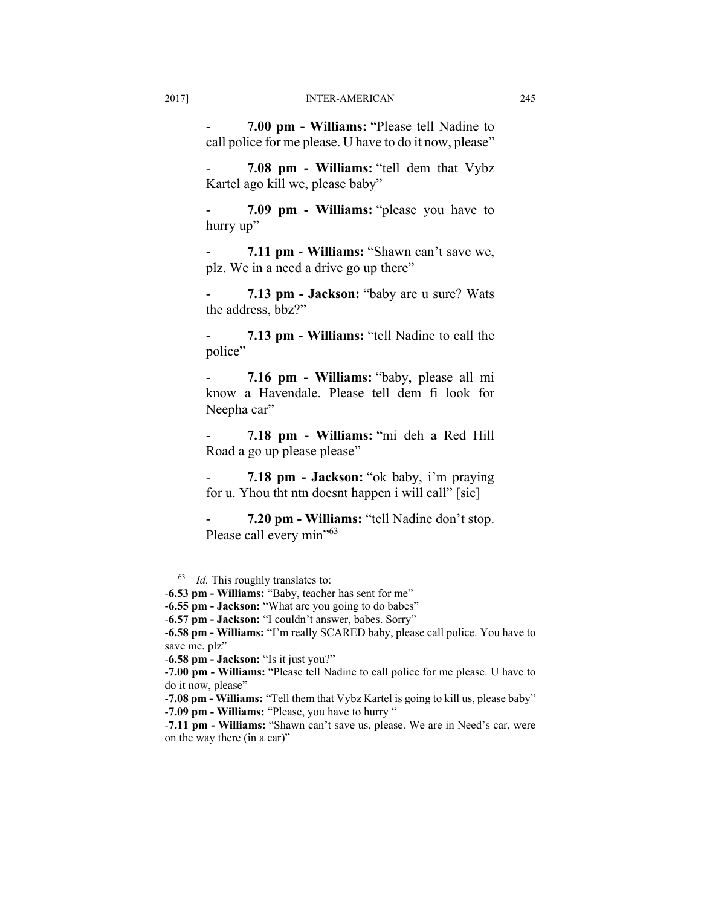- **7.00 pm - Williams:** "Please tell Nadine to call police for me please. U have to do it now, please"

- **7.08 pm - Williams:** "tell dem that Vybz Kartel ago kill we, please baby"

- **7.09 pm - Williams:** "please you have to hurry up"

- **7.11 pm - Williams:** "Shawn can't save we, plz. We in a need a drive go up there"

- **7.13 pm - Jackson:** "baby are u sure? Wats the address, bbz?"

- **7.13 pm - Williams:** "tell Nadine to call the police"

- **7.16 pm - Williams:** "baby, please all mi know a Havendale. Please tell dem fi look for Neepha car"

- **7.18 pm - Williams:** "mi deh a Red Hill Road a go up please please"

- **7.18 pm - Jackson:** "ok baby, i'm praying for u. Yhou tht ntn doesnt happen i will call" [sic]

- **7.20 pm - Williams:** "tell Nadine don't stop. Please call every min"<sup>63</sup>

 <sup>63</sup> *Id.* This roughly translates to:

<sup>-</sup>**6.53 pm - Williams:** "Baby, teacher has sent for me"

<sup>-</sup>**6.55 pm - Jackson:** "What are you going to do babes"

<sup>-</sup>**6.57 pm - Jackson:** "I couldn't answer, babes. Sorry"

<sup>-</sup>**6.58 pm - Williams:** "I'm really SCARED baby, please call police. You have to save me, plz"

<sup>-</sup>**6.58 pm - Jackson:** "Is it just you?"

<sup>-</sup>**7.00 pm - Williams:** "Please tell Nadine to call police for me please. U have to do it now, please"

<sup>-</sup>**7.08 pm - Williams:** "Tell them that Vybz Kartel is going to kill us, please baby" -**7.09 pm - Williams:** "Please, you have to hurry "

<sup>-</sup>**7.11 pm - Williams:** "Shawn can't save us, please. We are in Need's car, were on the way there (in a car)"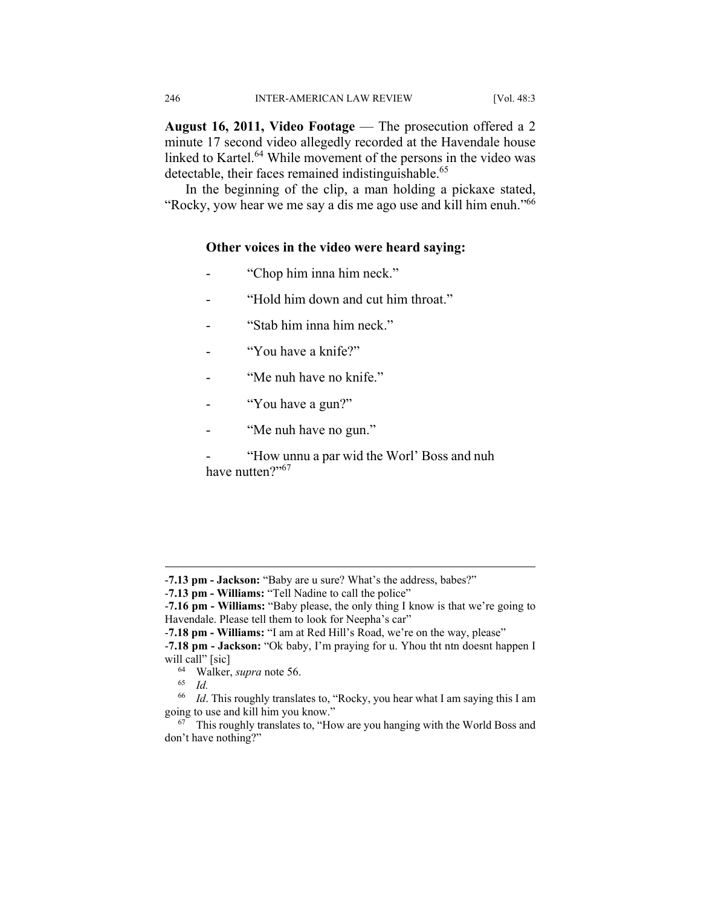August 16, 2011, Video Footage — The prosecution offered a 2 minute 17 second video allegedly recorded at the Havendale house linked to Kartel.<sup>64</sup> While movement of the persons in the video was detectable, their faces remained indistinguishable.<sup>65</sup>

In the beginning of the clip, a man holding a pickaxe stated, "Rocky, yow hear we me say a dis me ago use and kill him enuh."66

#### **Other voices in the video were heard saying:**

- "Chop him inna him neck."
- "Hold him down and cut him throat."
- "Stab him inna him neck."
- "You have a knife?"
- "Me nuh have no knife."
- "You have a gun?"
- "Me nuh have no gun."

- "How unnu a par wid the Worl' Boss and nuh have nutten?"<sup>67</sup>

1

<sup>-</sup>**7.13 pm - Jackson:** "Baby are u sure? What's the address, babes?"

<sup>-</sup>**7.13 pm - Williams:** "Tell Nadine to call the police"

<sup>-</sup>**7.16 pm - Williams:** "Baby please, the only thing I know is that we're going to Havendale. Please tell them to look for Neepha's car"

<sup>-</sup>**7.18 pm - Williams:** "I am at Red Hill's Road, we're on the way, please"

<sup>-</sup>**7.18 pm - Jackson:** "Ok baby, I'm praying for u. Yhou tht ntn doesnt happen I will call" [sic]<br><sup>64</sup> Walker, *supra* note 56.<br><sup>65</sup> *Id*.

<sup>&</sup>lt;sup>66</sup> *Id*. This roughly translates to, "Rocky, you hear what I am saying this I am going to use and kill him you know."

 $67$  This roughly translates to, "How are you hanging with the World Boss and don't have nothing?"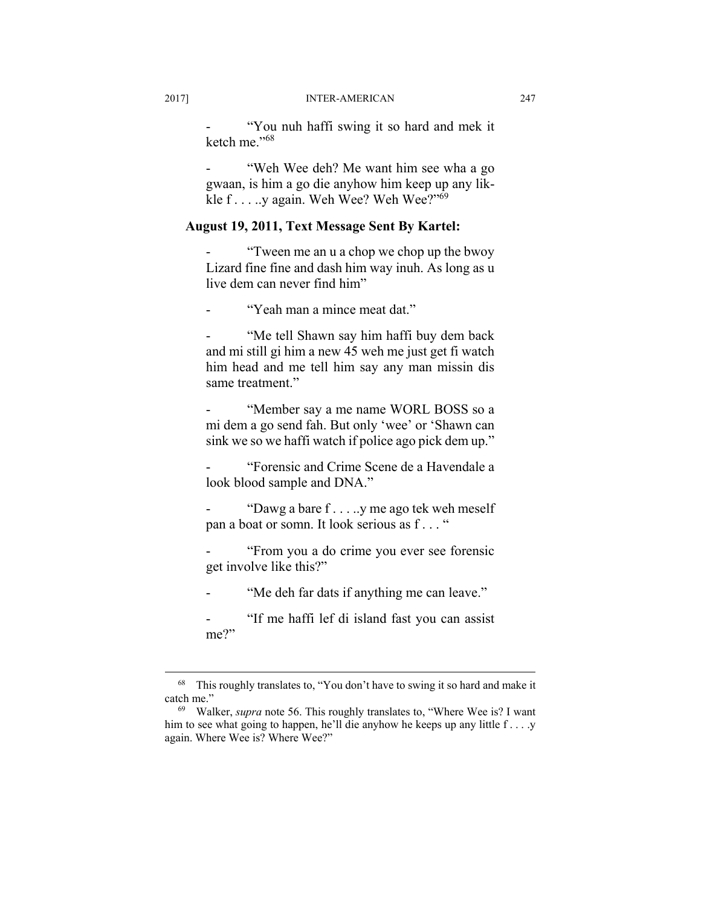"You nuh haffi swing it so hard and mek it ketch me<sup>"68</sup>

"Weh Wee deh? Me want him see wha a go gwaan, is him a go die anyhow him keep up any likkle f . . . . .y again. Weh Wee? Weh Wee?"<sup>69</sup>

## **August 19, 2011, Text Message Sent By Kartel:**

"Tween me an u a chop we chop up the bwoy" Lizard fine fine and dash him way inuh. As long as u live dem can never find him"

"Yeah man a mince meat dat."

"Me tell Shawn say him haffi buy dem back and mi still gi him a new 45 weh me just get fi watch him head and me tell him say any man missin dis same treatment."

"Member say a me name WORL BOSS so a mi dem a go send fah. But only 'wee' or 'Shawn can sink we so we haffi watch if police ago pick dem up."

- "Forensic and Crime Scene de a Havendale a look blood sample and DNA."

"Dawg a bare  $f \dots y$  me ago tek weh meself pan a boat or somn. It look serious as f . . . "

"From you a do crime you ever see forensic get involve like this?"

"Me deh far dats if anything me can leave."

"If me haffi lef di island fast you can assist me?"

 <sup>68</sup> This roughly translates to, "You don't have to swing it so hard and make it catch me." 69 Walker, *supra* note 56. This roughly translates to, "Where Wee is? I want

him to see what going to happen, he'll die anyhow he keeps up any little f . . . .y again. Where Wee is? Where Wee?"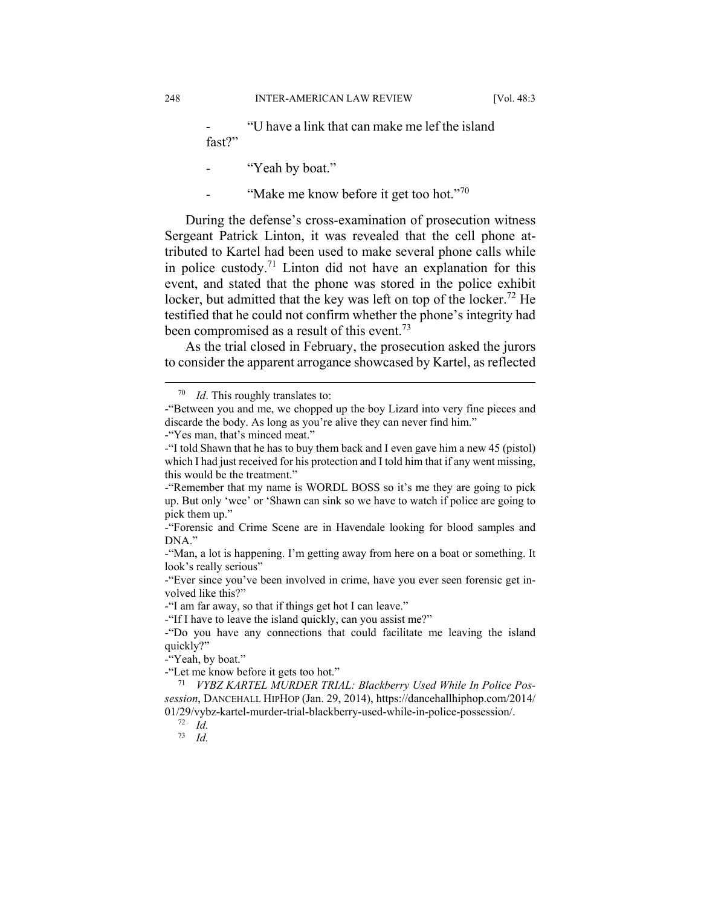"U have a link that can make me lef the island fast?"

"Yeah by boat."

"Make me know before it get too hot."<sup>70</sup>

During the defense's cross-examination of prosecution witness Sergeant Patrick Linton, it was revealed that the cell phone attributed to Kartel had been used to make several phone calls while in police custody.<sup>71</sup> Linton did not have an explanation for this event, and stated that the phone was stored in the police exhibit locker, but admitted that the key was left on top of the locker.<sup>72</sup> He testified that he could not confirm whether the phone's integrity had been compromised as a result of this event.<sup>73</sup>

As the trial closed in February, the prosecution asked the jurors to consider the apparent arrogance showcased by Kartel, as reflected

-"Yeah, by boat."

 <sup>70</sup> *Id*. This roughly translates to:

<sup>-&</sup>quot;Between you and me, we chopped up the boy Lizard into very fine pieces and discarde the body. As long as you're alive they can never find him."

<sup>-&</sup>quot;Yes man, that's minced meat."

<sup>-&</sup>quot;I told Shawn that he has to buy them back and I even gave him a new 45 (pistol) which I had just received for his protection and I told him that if any went missing, this would be the treatment."

<sup>-&</sup>quot;Remember that my name is WORDL BOSS so it's me they are going to pick up. But only 'wee' or 'Shawn can sink so we have to watch if police are going to pick them up."

<sup>-&</sup>quot;Forensic and Crime Scene are in Havendale looking for blood samples and DNA."

<sup>-&</sup>quot;Man, a lot is happening. I'm getting away from here on a boat or something. It look's really serious"

<sup>-&</sup>quot;Ever since you've been involved in crime, have you ever seen forensic get involved like this?"

<sup>-&</sup>quot;I am far away, so that if things get hot I can leave."

<sup>-&</sup>quot;If I have to leave the island quickly, can you assist me?"

<sup>-&</sup>quot;Do you have any connections that could facilitate me leaving the island quickly?"

<sup>-&</sup>quot;Let me know before it gets too hot." 71 *VYBZ KARTEL MURDER TRIAL: Blackberry Used While In Police Possession*, DANCEHALL HIPHOP (Jan. 29, 2014), https://dancehallhiphop.com/2014/ 01/29/vybz-kartel-murder-trial-blackberry-used-while-in-police-possession/. 72 *Id.* 

<sup>73</sup> *Id.*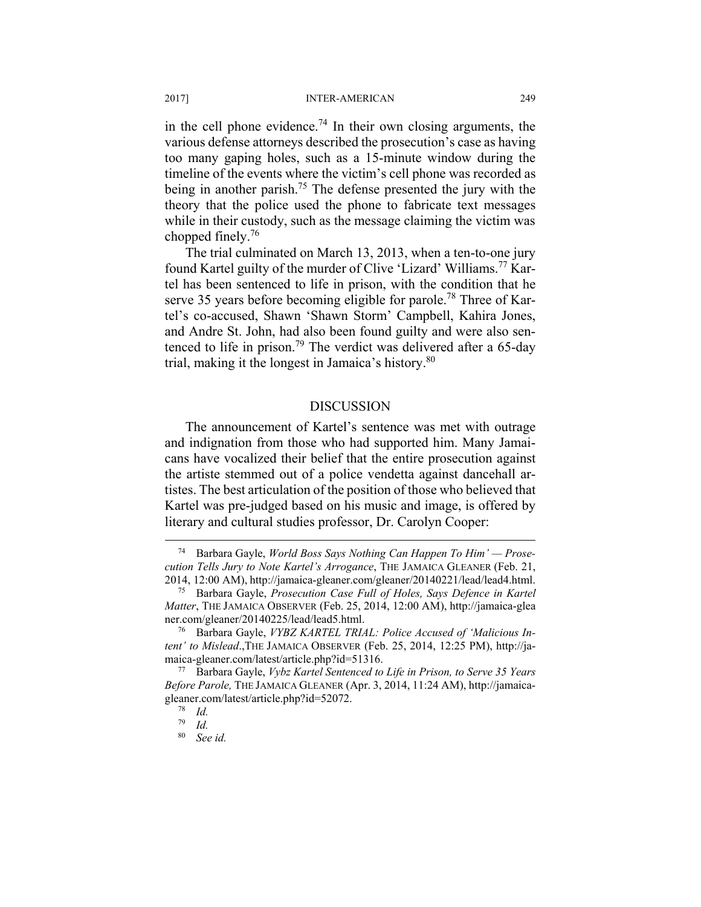in the cell phone evidence.<sup>74</sup> In their own closing arguments, the various defense attorneys described the prosecution's case as having too many gaping holes, such as a 15-minute window during the timeline of the events where the victim's cell phone was recorded as being in another parish.<sup>75</sup> The defense presented the jury with the theory that the police used the phone to fabricate text messages while in their custody, such as the message claiming the victim was chopped finely.76

The trial culminated on March 13, 2013, when a ten-to-one jury found Kartel guilty of the murder of Clive 'Lizard' Williams.77 Kartel has been sentenced to life in prison, with the condition that he serve 35 years before becoming eligible for parole.<sup>78</sup> Three of Kartel's co-accused, Shawn 'Shawn Storm' Campbell, Kahira Jones, and Andre St. John, had also been found guilty and were also sentenced to life in prison.<sup>79</sup> The verdict was delivered after a 65-day trial, making it the longest in Jamaica's history.<sup>80</sup>

#### DISCUSSION

The announcement of Kartel's sentence was met with outrage and indignation from those who had supported him. Many Jamaicans have vocalized their belief that the entire prosecution against the artiste stemmed out of a police vendetta against dancehall artistes. The best articulation of the position of those who believed that Kartel was pre-judged based on his music and image, is offered by literary and cultural studies professor, Dr. Carolyn Cooper:

 <sup>74</sup> Barbara Gayle, *World Boss Says Nothing Can Happen To Him' — Prosecution Tells Jury to Note Kartel's Arrogance*, THE JAMAICA GLEANER (Feb. 21, 2014, 12:00 AM), http://jamaica-gleaner.com/gleaner/20140221/lead/lead4.html. 75 Barbara Gayle, *Prosecution Case Full of Holes, Says Defence in Kartel* 

*Matter*, THE JAMAICA OBSERVER (Feb. 25, 2014, 12:00 AM), http://jamaica-glea

ner.com/gleaner/20140225/lead/lead5.html.<br><sup>76</sup> Barbara Gayle, *VYBZ KARTEL TRIAL: Police Accused of 'Malicious Intent' to Mislead*.,THE JAMAICA OBSERVER (Feb. 25, 2014, 12:25 PM), http://jamaica-gleaner.com/latest/article.php?id=51316. 77 Barbara Gayle, *Vybz Kartel Sentenced to Life in Prison, to Serve 35 Years* 

*Before Parole,* THE JAMAICA GLEANER (Apr. 3, 2014, 11:24 AM), http://jamaicagleaner.com/latest/article.php?id=52072.<br><sup>78</sup> *Id.*<br><sup>79</sup> *Id.* 

 $\frac{79}{80}$  *Id.* 

<sup>80</sup> *See id.*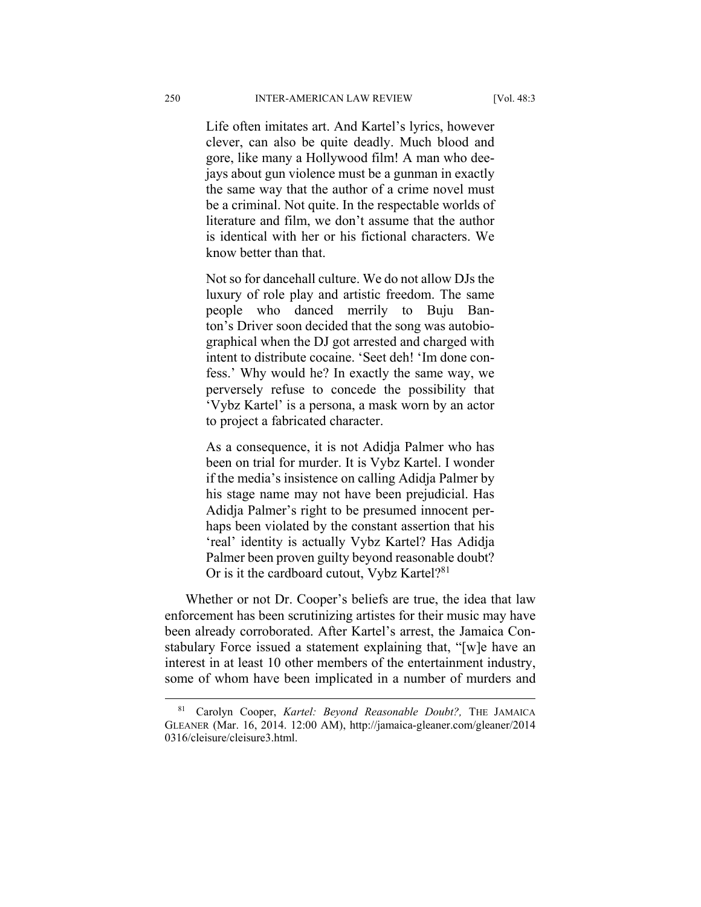Life often imitates art. And Kartel's lyrics, however clever, can also be quite deadly. Much blood and gore, like many a Hollywood film! A man who deejays about gun violence must be a gunman in exactly the same way that the author of a crime novel must be a criminal. Not quite. In the respectable worlds of literature and film, we don't assume that the author is identical with her or his fictional characters. We know better than that.

Not so for dancehall culture. We do not allow DJs the luxury of role play and artistic freedom. The same people who danced merrily to Buju Banton's Driver soon decided that the song was autobiographical when the DJ got arrested and charged with intent to distribute cocaine. 'Seet deh! 'Im done confess.' Why would he? In exactly the same way, we perversely refuse to concede the possibility that 'Vybz Kartel' is a persona, a mask worn by an actor to project a fabricated character.

As a consequence, it is not Adidja Palmer who has been on trial for murder. It is Vybz Kartel. I wonder if the media's insistence on calling Adidja Palmer by his stage name may not have been prejudicial. Has Adidja Palmer's right to be presumed innocent perhaps been violated by the constant assertion that his 'real' identity is actually Vybz Kartel? Has Adidja Palmer been proven guilty beyond reasonable doubt? Or is it the cardboard cutout, Vybz Kartel?<sup>81</sup>

Whether or not Dr. Cooper's beliefs are true, the idea that law enforcement has been scrutinizing artistes for their music may have been already corroborated. After Kartel's arrest, the Jamaica Constabulary Force issued a statement explaining that, "[w]e have an interest in at least 10 other members of the entertainment industry, some of whom have been implicated in a number of murders and

 <sup>81</sup> Carolyn Cooper, *Kartel: Beyond Reasonable Doubt?,* THE JAMAICA GLEANER (Mar. 16, 2014. 12:00 AM), http://jamaica-gleaner.com/gleaner/2014 0316/cleisure/cleisure3.html.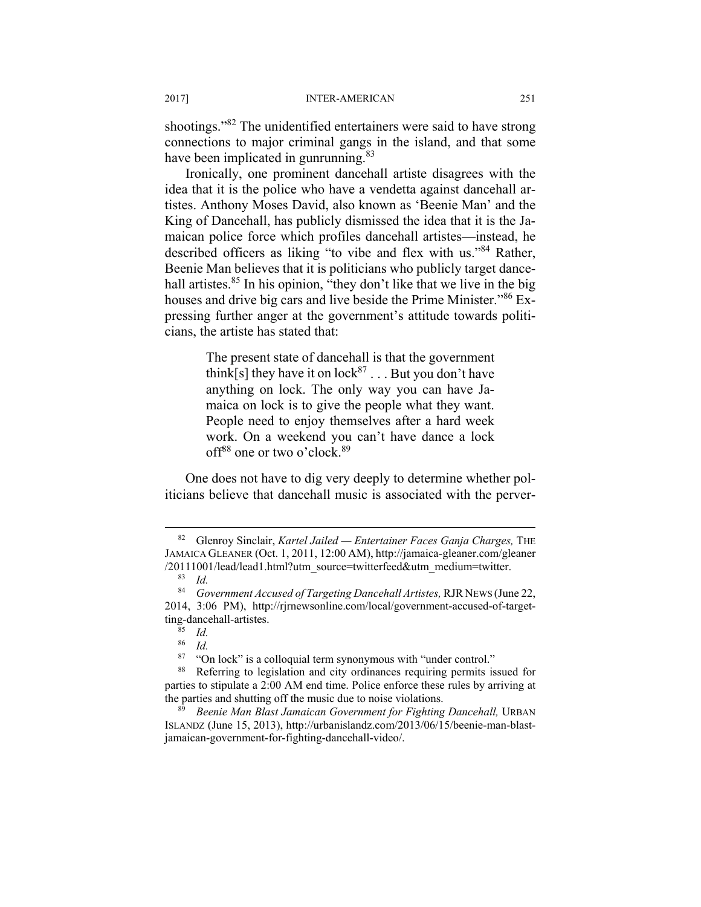shootings."<sup>82</sup> The unidentified entertainers were said to have strong connections to major criminal gangs in the island, and that some have been implicated in gunrunning.<sup>83</sup>

Ironically, one prominent dancehall artiste disagrees with the idea that it is the police who have a vendetta against dancehall artistes. Anthony Moses David, also known as 'Beenie Man' and the King of Dancehall, has publicly dismissed the idea that it is the Jamaican police force which profiles dancehall artistes—instead, he described officers as liking "to vibe and flex with us."84 Rather, Beenie Man believes that it is politicians who publicly target dancehall artistes.<sup>85</sup> In his opinion, "they don't like that we live in the big houses and drive big cars and live beside the Prime Minister."86 Expressing further anger at the government's attitude towards politicians, the artiste has stated that:

> The present state of dancehall is that the government think[s] they have it on  $lock^{87}$ ... But you don't have anything on lock. The only way you can have Jamaica on lock is to give the people what they want. People need to enjoy themselves after a hard week work. On a weekend you can't have dance a lock off<sup>88</sup> one or two o'clock.<sup>89</sup>

One does not have to dig very deeply to determine whether politicians believe that dancehall music is associated with the perver-

 <sup>82</sup> Glenroy Sinclair, *Kartel Jailed — Entertainer Faces Ganja Charges,* THE JAMAICA GLEANER (Oct. 1, 2011, 12:00 AM), http://jamaica-gleaner.com/gleaner /20111001/lead/lead1.html?utm\_source=twitterfeed&utm\_medium=twitter.

<sup>83</sup> *Id.* 

<sup>84</sup> *Government Accused of Targeting Dancehall Artistes,* RJR NEWS (June 22, 2014, 3:06 PM), http://rjrnewsonline.com/local/government-accused-of-targetting-dancehall-artistes. 85 *Id.* 

 $rac{86}{87}$  *Id.* 

<sup>&</sup>lt;sup>87</sup> "On lock" is a colloquial term synonymous with "under control." Referring to legislation and city ordinances requiring permits issued for parties to stipulate a 2:00 AM end time. Police enforce these rules by arriving at the parties and shutting off the music due to noise violations. 89 *Beenie Man Blast Jamaican Government for Fighting Dancehall,* URBAN

ISLANDZ (June 15, 2013), http://urbanislandz.com/2013/06/15/beenie-man-blastjamaican-government-for-fighting-dancehall-video/.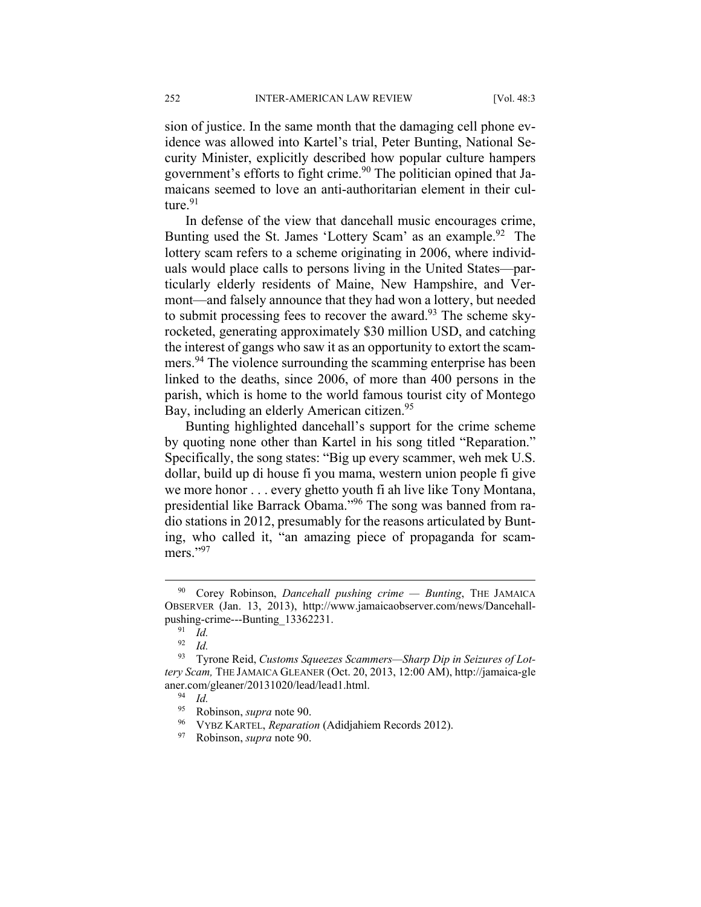sion of justice. In the same month that the damaging cell phone evidence was allowed into Kartel's trial, Peter Bunting, National Security Minister, explicitly described how popular culture hampers government's efforts to fight crime.<sup>90</sup> The politician opined that Jamaicans seemed to love an anti-authoritarian element in their culture. $91$ 

In defense of the view that dancehall music encourages crime, Bunting used the St. James 'Lottery Scam' as an example.<sup>92</sup> The lottery scam refers to a scheme originating in 2006, where individuals would place calls to persons living in the United States—particularly elderly residents of Maine, New Hampshire, and Vermont—and falsely announce that they had won a lottery, but needed to submit processing fees to recover the award.<sup>93</sup> The scheme skyrocketed, generating approximately \$30 million USD, and catching the interest of gangs who saw it as an opportunity to extort the scammers.<sup>94</sup> The violence surrounding the scamming enterprise has been linked to the deaths, since 2006, of more than 400 persons in the parish, which is home to the world famous tourist city of Montego Bay, including an elderly American citizen.<sup>95</sup>

Bunting highlighted dancehall's support for the crime scheme by quoting none other than Kartel in his song titled "Reparation." Specifically, the song states: "Big up every scammer, weh mek U.S. dollar, build up di house fi you mama, western union people fi give we more honor . . . every ghetto youth fi ah live like Tony Montana, presidential like Barrack Obama."96 The song was banned from radio stations in 2012, presumably for the reasons articulated by Bunting, who called it, "an amazing piece of propaganda for scammers."97

 <sup>90</sup> Corey Robinson, *Dancehall pushing crime — Bunting*, THE JAMAICA OBSERVER (Jan. 13, 2013), http://www.jamaicaobserver.com/news/Dancehallpushing-crime---Bunting\_13362231. 91 *Id.* 

<sup>92</sup> *Id.*

<sup>93</sup> Tyrone Reid, *Customs Squeezes Scammers—Sharp Dip in Seizures of Lottery Scam,* THE JAMAICA GLEANER (Oct. 20, 2013, 12:00 AM), http://jamaica-gle aner.com/gleaner/20131020/lead/lead1.html.<br><sup>94</sup> Id.<br><sup>95</sup> Pohinson sunga pote 90

<sup>95</sup> Robinson, *supra* note 90. 96 VYBZ KARTEL, *Reparation* (Adidjahiem Records 2012). 97 Robinson, *supra* note 90.